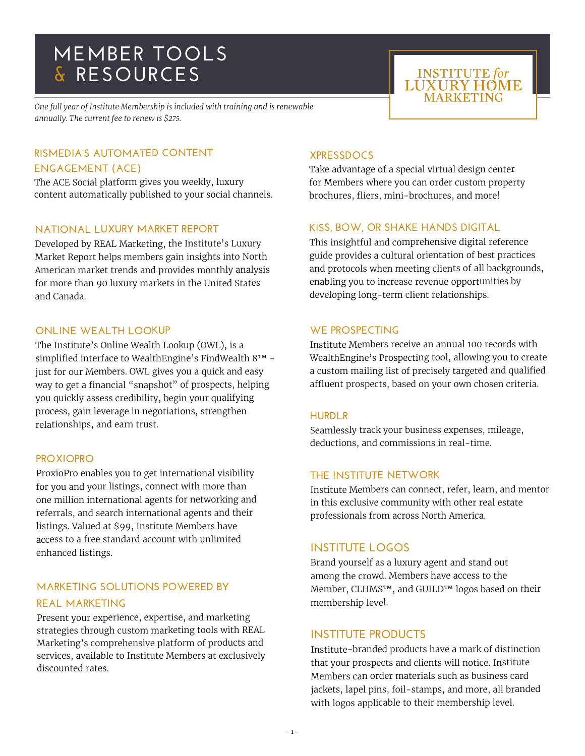# **MEMBER TOOLS & RESOURCES**

*One full year of Institute Membership is included with training and is renewable annually. The current fee to renew is \$275.*

## **RISMEDIA'S AUTOMATED CONTENT ENGAGEMENT (ACE)**

The ACE Social platform gives you weekly, luxury content automatically published to your social channels.

#### **NATIONAL LUXURY MARKET REPORT**

Developed by REAL Marketing, the Institute's Luxury Market Report helps members gain insights into North American market trends and provides monthly analysis for more than 90 luxury markets in the United States and Canada.

#### **ONLINE WEALTH LOOKUP**

The Institute's Online Wealth Lookup (OWL), is a simplified interface to WealthEngine's FindWealth 8™ just for our Members. OWL gives you a quick and easy way to get a financial "snapshot" of prospects, helping you quickly assess credibility, begin your qualifying process, gain leverage in negotiations, strengthen relationships, and earn trust.

## **PROXIOPRO**

ProxioPro enables you to get international visibility for you and your listings, connect with more than one million international agents for networking and referrals, and search international agents and their listings. Valued at \$99, Institute Members have access to a free standard account with unlimited enhanced listings.

## **MARKETING SOLUTIONS POWERED BY REAL MARKETING**

Present your experience, expertise, and marketing strategies through custom marketing tools with REAL Marketing's comprehensive platform of products and services, available to Institute Members at exclusively discounted rates.

# **XPRESSDOCS**

Take advantage of a special virtual design center for Members where you can order custom property brochures, fliers, mini-brochures, and more!

**INSTITUTE** for **LUXURY HOME** MARKETING

## **KISS, BOW, OR SHAKE HANDS DIGITAL**

This insightful and comprehensive digital reference guide provides a cultural orientation of best practices and protocols when meeting clients of all backgrounds, enabling you to increase revenue opportunities by developing long-term client relationships.

## **WE PROSPECTING**

Institute Members receive an annual 100 records with WealthEngine's Prospecting tool, allowing you to create a custom mailing list of precisely targeted and qualified affluent prospects, based on your own chosen criteria.

#### **HURDLR**

Seamlessly track your business expenses, mileage, deductions, and commissions in real-time.

## **THE INSTITUTE NETWORK**

Institute Members can connect, refer, learn, and mentor in this exclusive community with other real estate professionals from across North America.

## **INSTITUTE LOGOS**

Brand yourself as a luxury agent and stand out among the crowd. Members have access to the Member, CLHMS™, and GUILD™ logos based on their membership level.

## **INSTITUTE PRODUCTS**

Institute-branded products have a mark of distinction that your prospects and clients will notice. Institute Members can order materials such as business card jackets, lapel pins, foil-stamps, and more, all branded with logos applicable to their membership level.